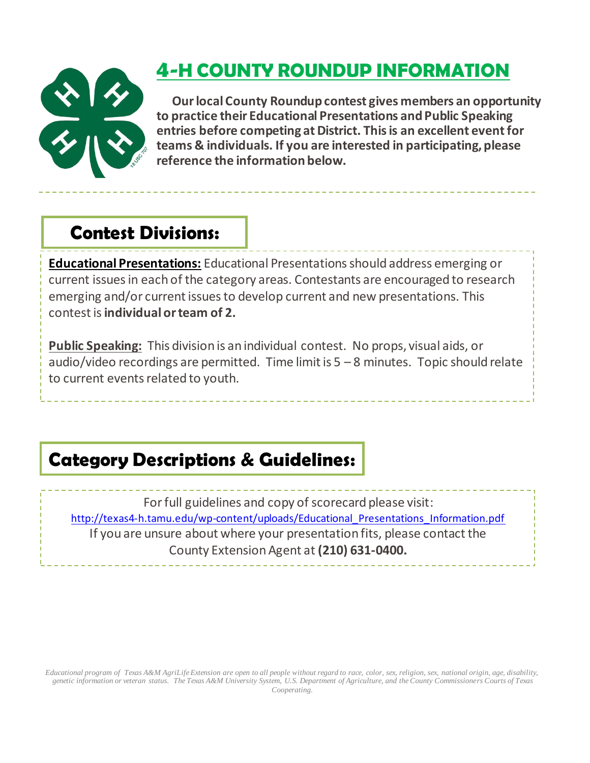

# **4-H COUNTY ROUNDUP INFORMATION**

 **Ourlocal County Roundupcontest gives members an opportunity to practice their Educational Presentations andPublic Speaking** *entries* before competing at District. This is an excellent event for **teams & individuals. If you are interested in participating, please reference the information below.**

## Contest Divisions:

**Educational Presentations:** Educational Presentations should address emerging or current issues in each of the category areas. Contestants are encouraged to research emerging and/or current issues to develop current and new presentations. This contest is **individual or team of 2.**

**Public Speaking:** This division is an individual contest. No props, visual aids, or audio/video recordings are permitted. Time limit is  $5 - 8$  minutes. Topic should relate to current events related to youth.

# Category Descriptions & Guidelines:

For full guidelines and copy of scorecard please visit: [http://texas4-h.tamu.edu/wp-content/uploads/Educational\\_Presentations\\_Information.pdf](http://texas4-h.tamu.edu/wp-content/uploads/Educational_Presentations_Information.pdf) If you are unsure about where your presentation fits, please contact the County Extension Agent at **(210) 631-0400.**

*Educational program of Texas A&M AgriLife Extension are open to all people without regard to race, color, sex, religion, sex, national origin, age, disability, genetic information or veteran status. The Texas A&M University System, U.S. Department of Agriculture, and the County Commissioners Courts of Texas Cooperating.*